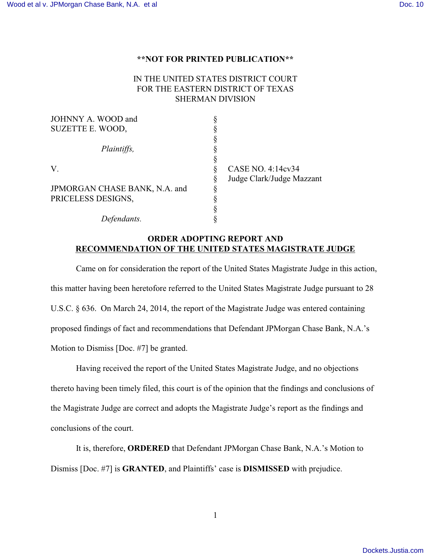## **\*\*NOT FOR PRINTED PUBLICATION\*\***

## IN THE UNITED STATES DISTRICT COURT FOR THE EASTERN DISTRICT OF TEXAS SHERMAN DIVISION

| JOHNNY A. WOOD and            |   |                           |
|-------------------------------|---|---------------------------|
| SUZETTE E. WOOD,              |   |                           |
|                               |   |                           |
| Plaintiffs,                   |   |                           |
|                               |   |                           |
| V.                            |   | CASE NO. 4:14cv34         |
|                               | 9 | Judge Clark/Judge Mazzant |
| JPMORGAN CHASE BANK, N.A. and | O |                           |
| PRICELESS DESIGNS,            |   |                           |
|                               |   |                           |
| Defendants.                   |   |                           |

## **ORDER ADOPTING REPORT AND RECOMMENDATION OF THE UNITED STATES MAGISTRATE JUDGE**

Came on for consideration the report of the United States Magistrate Judge in this action, this matter having been heretofore referred to the United States Magistrate Judge pursuant to 28 U.S.C. § 636. On March 24, 2014, the report of the Magistrate Judge was entered containing proposed findings of fact and recommendations that Defendant JPMorgan Chase Bank, N.A.'s Motion to Dismiss [Doc. #7] be granted.

Having received the report of the United States Magistrate Judge, and no objections thereto having been timely filed, this court is of the opinion that the findings and conclusions of the Magistrate Judge are correct and adopts the Magistrate Judge's report as the findings and conclusions of the court.

It is, therefore, **ORDERED** that Defendant JPMorgan Chase Bank, N.A.'s Motion to Dismiss [Doc. #7] is **GRANTED**, and Plaintiffs' case is **DISMISSED** with prejudice.